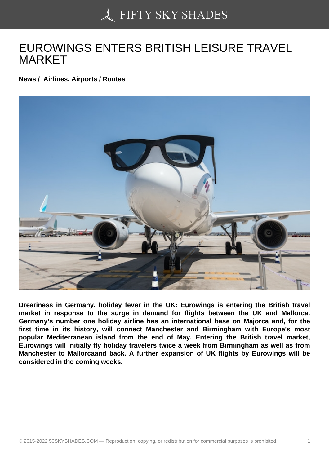## [EUROWINGS ENTERS](https://50skyshades.com) BRITISH LEISURE TRAVEL MARKET

News / Airlines, Airports / Routes

Dreariness in Germany, holiday fever in the UK: Eurowings is entering the British travel market in response to the surge in demand for flights between the UK and Mallorca. Germany's number one holiday airline has an international base on Majorca and, for the first time in its history, will connect Manchester and Birmingham with Europe's most popular Mediterranean island from the end of May. Entering the British travel market, Eurowings will initially fly holiday travelers twice a week from Birmingham as well as from Manchester to Mallorcaand back. A further expansion of UK flights by Eurowings will be considered in the coming weeks.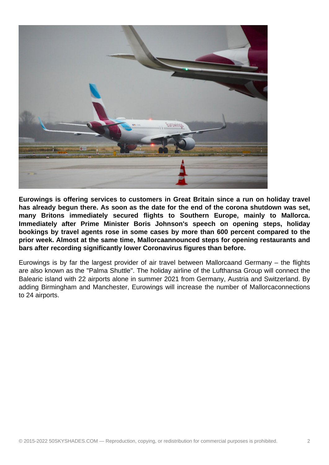

**Eurowings is offering services to customers in Great Britain since a run on holiday travel has already begun there. As soon as the date for the end of the corona shutdown was set, many Britons immediately secured flights to Southern Europe, mainly to Mallorca. Immediately after Prime Minister Boris Johnson's speech on opening steps, holiday bookings by travel agents rose in some cases by more than 600 percent compared to the prior week. Almost at the same time, Mallorcaannounced steps for opening restaurants and bars after recording significantly lower Coronavirus figures than before.**

Eurowings is by far the largest provider of air travel between Mallorcaand Germany – the flights are also known as the "Palma Shuttle". The holiday airline of the Lufthansa Group will connect the Balearic island with 22 airports alone in summer 2021 from Germany, Austria and Switzerland. By adding Birmingham and Manchester, Eurowings will increase the number of Mallorcaconnections to 24 airports.